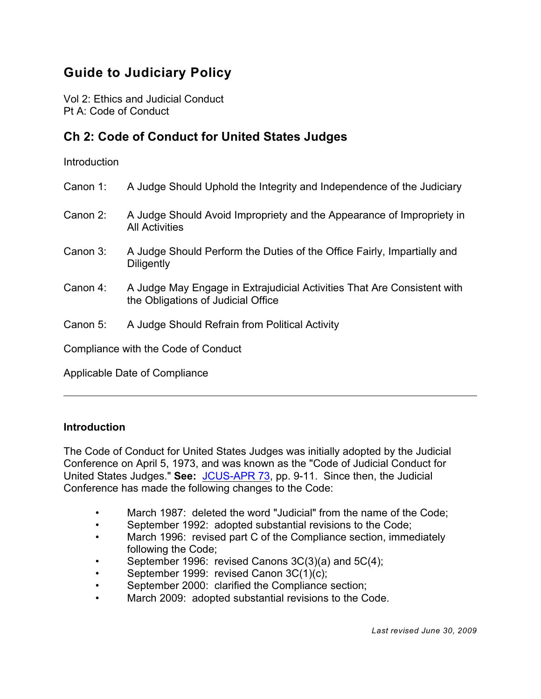# **Guide to Judiciary Policy**

Vol 2: Ethics and Judicial Conduct Pt A: Code of Conduct

## **Ch 2: Code of Conduct for United States Judges**

Introduction

| Canon 1:                            | A Judge Should Uphold the Integrity and Independence of the Judiciary                                         |
|-------------------------------------|---------------------------------------------------------------------------------------------------------------|
| Canon 2:                            | A Judge Should Avoid Impropriety and the Appearance of Impropriety in<br><b>All Activities</b>                |
| Canon 3:                            | A Judge Should Perform the Duties of the Office Fairly, Impartially and<br>Diligently                         |
| Canon 4:                            | A Judge May Engage in Extrajudicial Activities That Are Consistent with<br>the Obligations of Judicial Office |
| Canon 5:                            | A Judge Should Refrain from Political Activity                                                                |
| Compliance with the Code of Conduct |                                                                                                               |

Applicable Date of Compliance

## **Introduction**

 United States Judges." **See:** [JCUS-APR 73](http://www.uscourts.gov/FederalCourts/JudicialConference/Proceedings/Proceedings.aspx?doc=/uscourts/FederalCourts/judconf/proceedings/1973-04.pdf), pp. 9-11. Since then, the Judicial The Code of Conduct for United States Judges was initially adopted by the Judicial Conference on April 5, 1973, and was known as the "Code of Judicial Conduct for Conference has made the following changes to the Code:

- March 1987: deleted the word "Judicial" from the name of the Code;
- September 1992: adopted substantial revisions to the Code;
- March 1996: revised part C of the Compliance section, immediately following the Code;
- September 1996: revised Canons  $3C(3)(a)$  and  $5C(4)$ ;
- September 1999: revised Canon 3C(1)(c);
- September 2000: clarified the Compliance section;
- March 2009: adopted substantial revisions to the Code.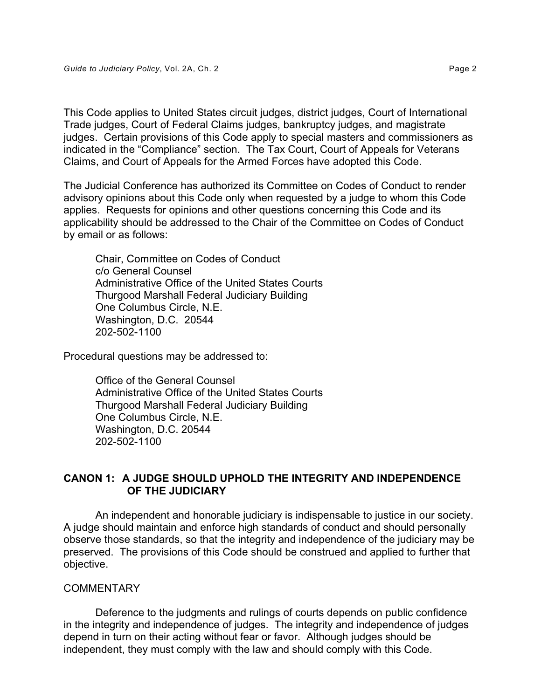This Code applies to United States circuit judges, district judges, Court of International Trade judges, Court of Federal Claims judges, bankruptcy judges, and magistrate judges. Certain provisions of this Code apply to special masters and commissioners as indicated in the "Compliance" section. The Tax Court, Court of Appeals for Veterans Claims, and Court of Appeals for the Armed Forces have adopted this Code.

The Judicial Conference has authorized its Committee on Codes of Conduct to render advisory opinions about this Code only when requested by a judge to whom this Code applies. Requests for opinions and other questions concerning this Code and its applicability should be addressed to the Chair of the Committee on Codes of Conduct by email or as follows:

Chair, Committee on Codes of Conduct c/o General Counsel Administrative Office of the United States Courts Thurgood Marshall Federal Judiciary Building One Columbus Circle, N.E. Washington, D.C. 20544 202-502-1100

Procedural questions may be addressed to:

Office of the General Counsel Administrative Office of the United States Courts Thurgood Marshall Federal Judiciary Building One Columbus Circle, N.E. Washington, D.C. 20544 202-502-1100

## **CANON 1: A JUDGE SHOULD UPHOLD THE INTEGRITY AND INDEPENDENCE OF THE JUDICIARY**

An independent and honorable judiciary is indispensable to justice in our society. A judge should maintain and enforce high standards of conduct and should personally observe those standards, so that the integrity and independence of the judiciary may be preserved. The provisions of this Code should be construed and applied to further that objective.

#### **COMMENTARY**

Deference to the judgments and rulings of courts depends on public confidence in the integrity and independence of judges. The integrity and independence of judges depend in turn on their acting without fear or favor. Although judges should be independent, they must comply with the law and should comply with this Code.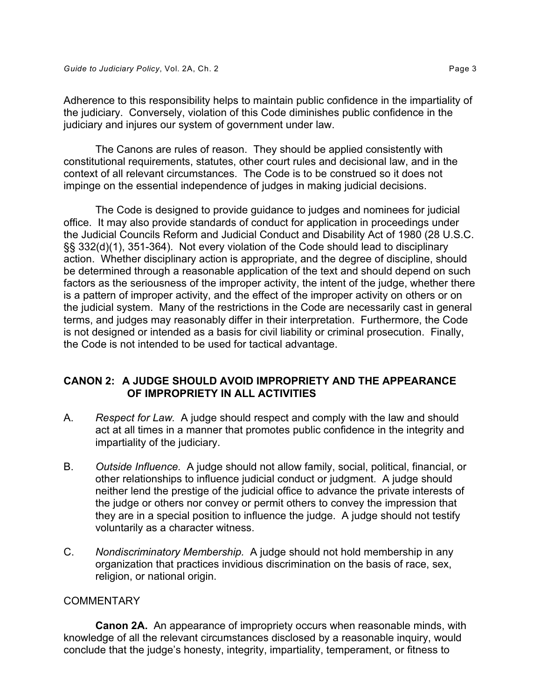Adherence to this responsibility helps to maintain public confidence in the impartiality of the judiciary. Conversely, violation of this Code diminishes public confidence in the judiciary and injures our system of government under law.

The Canons are rules of reason. They should be applied consistently with constitutional requirements, statutes, other court rules and decisional law, and in the context of all relevant circumstances. The Code is to be construed so it does not impinge on the essential independence of judges in making judicial decisions.

The Code is designed to provide guidance to judges and nominees for judicial office. It may also provide standards of conduct for application in proceedings under the Judicial Councils Reform and Judicial Conduct and Disability Act of 1980 (28 U.S.C. §§ 332(d)(1), 351-364). Not every violation of the Code should lead to disciplinary action. Whether disciplinary action is appropriate, and the degree of discipline, should be determined through a reasonable application of the text and should depend on such factors as the seriousness of the improper activity, the intent of the judge, whether there is a pattern of improper activity, and the effect of the improper activity on others or on the judicial system. Many of the restrictions in the Code are necessarily cast in general terms, and judges may reasonably differ in their interpretation. Furthermore, the Code is not designed or intended as a basis for civil liability or criminal prosecution. Finally, the Code is not intended to be used for tactical advantage.

## **CANON 2: A JUDGE SHOULD AVOID IMPROPRIETY AND THE APPEARANCE OF IMPROPRIETY IN ALL ACTIVITIES**

- A. *Respect for Law.* A judge should respect and comply with the law and should act at all times in a manner that promotes public confidence in the integrity and impartiality of the judiciary.
- B. *Outside Influence.* A judge should not allow family, social, political, financial, or other relationships to influence judicial conduct or judgment. A judge should neither lend the prestige of the judicial office to advance the private interests of the judge or others nor convey or permit others to convey the impression that they are in a special position to influence the judge. A judge should not testify voluntarily as a character witness.
- C. *Nondiscriminatory Membership.* A judge should not hold membership in any organization that practices invidious discrimination on the basis of race, sex, religion, or national origin.

#### **COMMENTARY**

**Canon 2A.** An appearance of impropriety occurs when reasonable minds, with knowledge of all the relevant circumstances disclosed by a reasonable inquiry, would conclude that the judge's honesty, integrity, impartiality, temperament, or fitness to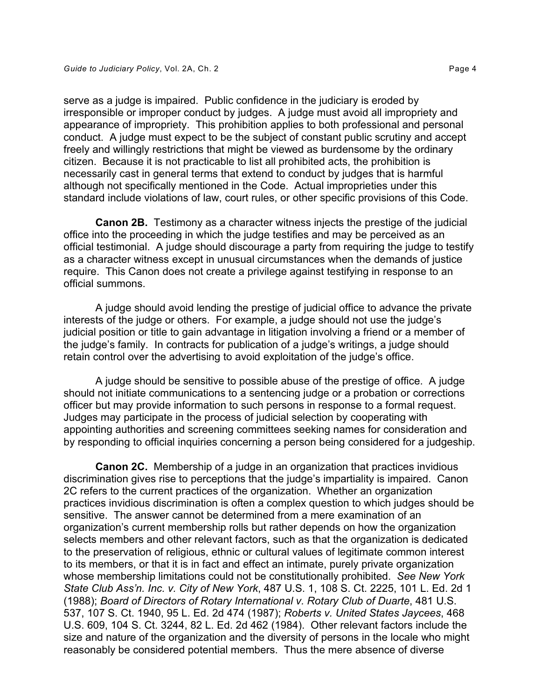serve as a judge is impaired. Public confidence in the judiciary is eroded by irresponsible or improper conduct by judges. A judge must avoid all impropriety and appearance of impropriety. This prohibition applies to both professional and personal conduct. A judge must expect to be the subject of constant public scrutiny and accept freely and willingly restrictions that might be viewed as burdensome by the ordinary citizen. Because it is not practicable to list all prohibited acts, the prohibition is necessarily cast in general terms that extend to conduct by judges that is harmful although not specifically mentioned in the Code. Actual improprieties under this standard include violations of law, court rules, or other specific provisions of this Code.

**Canon 2B.** Testimony as a character witness injects the prestige of the judicial office into the proceeding in which the judge testifies and may be perceived as an official testimonial. A judge should discourage a party from requiring the judge to testify as a character witness except in unusual circumstances when the demands of justice require. This Canon does not create a privilege against testifying in response to an official summons.

A judge should avoid lending the prestige of judicial office to advance the private interests of the judge or others. For example, a judge should not use the judge's judicial position or title to gain advantage in litigation involving a friend or a member of the judge's family. In contracts for publication of a judge's writings, a judge should retain control over the advertising to avoid exploitation of the judge's office.

A judge should be sensitive to possible abuse of the prestige of office. A judge should not initiate communications to a sentencing judge or a probation or corrections officer but may provide information to such persons in response to a formal request. Judges may participate in the process of judicial selection by cooperating with appointing authorities and screening committees seeking names for consideration and by responding to official inquiries concerning a person being considered for a judgeship.

 whose membership limitations could not be constitutionally prohibited. *See New York*  **Canon 2C.** Membership of a judge in an organization that practices invidious discrimination gives rise to perceptions that the judge's impartiality is impaired. Canon 2C refers to the current practices of the organization. Whether an organization practices invidious discrimination is often a complex question to which judges should be sensitive. The answer cannot be determined from a mere examination of an organization's current membership rolls but rather depends on how the organization selects members and other relevant factors, such as that the organization is dedicated to the preservation of religious, ethnic or cultural values of legitimate common interest to its members, or that it is in fact and effect an intimate, purely private organization *State Club Ass'n. Inc. v. City of New York*, 487 U.S. 1, 108 S. Ct. 2225, 101 L. Ed. 2d 1 (1988); *Board of Directors of Rotary International v. Rotary Club of Duarte*, 481 U.S. 537, 107 S. Ct. 1940, 95 L. Ed. 2d 474 (1987); *Roberts v. United States Jaycees*, 468 U.S. 609, 104 S. Ct. 3244, 82 L. Ed. 2d 462 (1984). Other relevant factors include the size and nature of the organization and the diversity of persons in the locale who might reasonably be considered potential members. Thus the mere absence of diverse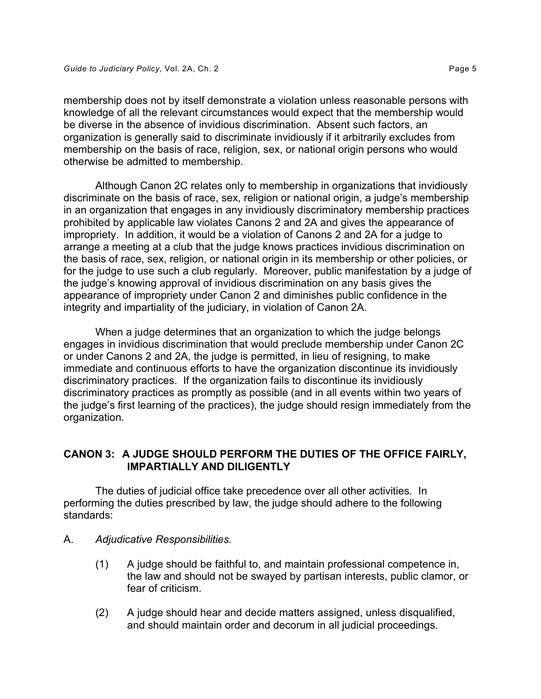membership does not by itself demonstrate a violation unless reasonable persons with knowledge of all the relevant circumstances would expect that the membership would be diverse in the absence of invidious discrimination. Absent such factors, an organization is generally said to discriminate invidiously if it arbitrarily excludes from membership on the basis of race, religion, sex, or national origin persons who would otherwise be admitted to membership.

Although Canon 2C relates only to membership in organizations that invidiously discriminate on the basis of race, sex, religion or national origin, a judge's membership in an organization that engages in any invidiously discriminatory membership practices prohibited by applicable law violates Canons 2 and 2A and gives the appearance of impropriety. In addition, it would be a violation of Canons 2 and 2A for a judge to arrange a meeting at a club that the judge knows practices invidious discrimination on the basis of race, sex, religion, or national origin in its membership or other policies, or for the judge to use such a club regularly. Moreover, public manifestation by a judge of the judge's knowing approval of invidious discrimination on any basis gives the appearance of impropriety under Canon 2 and diminishes public confidence in the integrity and impartiality of the judiciary, in violation of Canon 2A.

When a judge determines that an organization to which the judge belongs engages in invidious discrimination that would preclude membership under Canon 2C or under Canons 2 and 2A, the judge is permitted, in lieu of resigning, to make immediate and continuous efforts to have the organization discontinue its invidiously discriminatory practices. If the organization fails to discontinue its invidiously discriminatory practices as promptly as possible (and in all events within two years of the judge's first learning of the practices), the judge should resign immediately from the organization.

## **CANON 3: A JUDGE SHOULD PERFORM THE DUTIES OF THE OFFICE FAIRLY, IMPARTIALLY AND DILIGENTLY**

The duties of judicial office take precedence over all other activities. In performing the duties prescribed by law, the judge should adhere to the following standards:

- A. *Adjudicative Responsibilities.* 
	- (1) A judge should be faithful to, and maintain professional competence in, the law and should not be swayed by partisan interests, public clamor, or fear of criticism.
	- (2) A judge should hear and decide matters assigned, unless disqualified, and should maintain order and decorum in all judicial proceedings.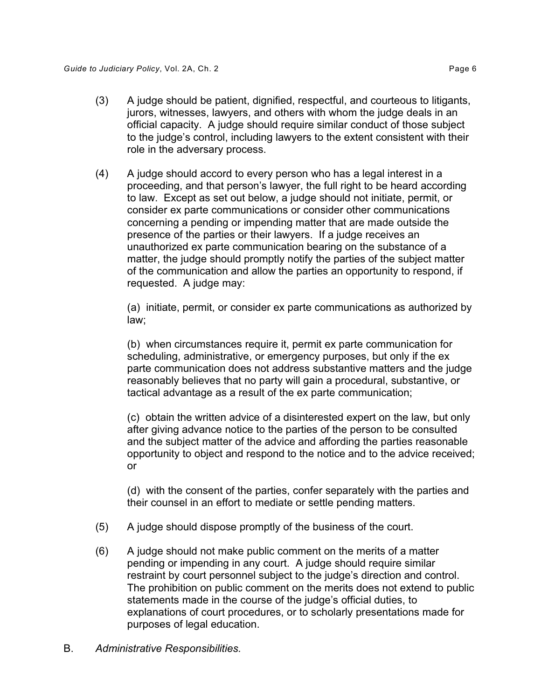- (3) A judge should be patient, dignified, respectful, and courteous to litigants, jurors, witnesses, lawyers, and others with whom the judge deals in an official capacity. A judge should require similar conduct of those subject to the judge's control, including lawyers to the extent consistent with their role in the adversary process.
- (4) A judge should accord to every person who has a legal interest in a proceeding, and that person's lawyer, the full right to be heard according to law. Except as set out below, a judge should not initiate, permit, or consider ex parte communications or consider other communications concerning a pending or impending matter that are made outside the presence of the parties or their lawyers. If a judge receives an unauthorized ex parte communication bearing on the substance of a matter, the judge should promptly notify the parties of the subject matter of the communication and allow the parties an opportunity to respond, if requested. A judge may:

(a) initiate, permit, or consider ex parte communications as authorized by law;

(b) when circumstances require it, permit ex parte communication for scheduling, administrative, or emergency purposes, but only if the ex parte communication does not address substantive matters and the judge reasonably believes that no party will gain a procedural, substantive, or tactical advantage as a result of the ex parte communication;

(c) obtain the written advice of a disinterested expert on the law, but only after giving advance notice to the parties of the person to be consulted and the subject matter of the advice and affording the parties reasonable opportunity to object and respond to the notice and to the advice received; or

(d) with the consent of the parties, confer separately with the parties and their counsel in an effort to mediate or settle pending matters.

- (5) A judge should dispose promptly of the business of the court.
- (6) A judge should not make public comment on the merits of a matter pending or impending in any court. A judge should require similar restraint by court personnel subject to the judge's direction and control. The prohibition on public comment on the merits does not extend to public statements made in the course of the judge's official duties, to explanations of court procedures, or to scholarly presentations made for purposes of legal education.
- B. *Administrative Responsibilities.*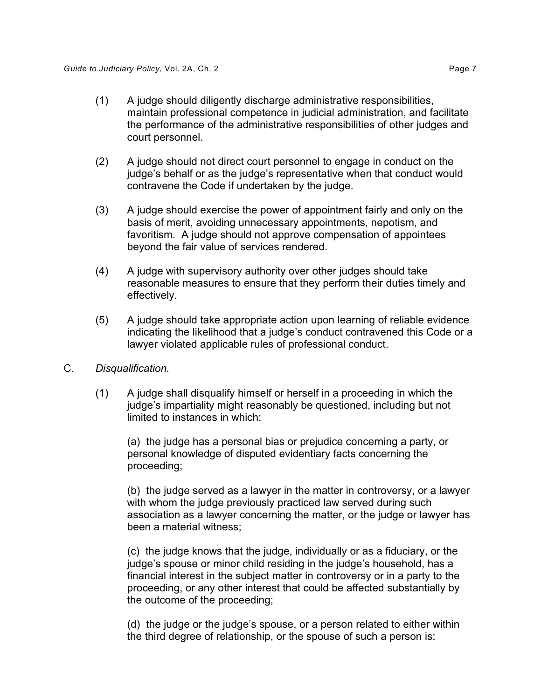- (1) A judge should diligently discharge administrative responsibilities, maintain professional competence in judicial administration, and facilitate the performance of the administrative responsibilities of other judges and court personnel.
- (2) A judge should not direct court personnel to engage in conduct on the judge's behalf or as the judge's representative when that conduct would contravene the Code if undertaken by the judge.
- (3) A judge should exercise the power of appointment fairly and only on the basis of merit, avoiding unnecessary appointments, nepotism, and favoritism. A judge should not approve compensation of appointees beyond the fair value of services rendered.
- (4) A judge with supervisory authority over other judges should take reasonable measures to ensure that they perform their duties timely and effectively.
- (5) A judge should take appropriate action upon learning of reliable evidence indicating the likelihood that a judge's conduct contravened this Code or a lawyer violated applicable rules of professional conduct.
- C. *Disqualification.* 
	- (1) A judge shall disqualify himself or herself in a proceeding in which the judge's impartiality might reasonably be questioned, including but not limited to instances in which:

(a) the judge has a personal bias or prejudice concerning a party, or personal knowledge of disputed evidentiary facts concerning the proceeding;

(b) the judge served as a lawyer in the matter in controversy, or a lawyer with whom the judge previously practiced law served during such association as a lawyer concerning the matter, or the judge or lawyer has been a material witness;

(c) the judge knows that the judge, individually or as a fiduciary, or the judge's spouse or minor child residing in the judge's household, has a financial interest in the subject matter in controversy or in a party to the proceeding, or any other interest that could be affected substantially by the outcome of the proceeding;

(d) the judge or the judge's spouse, or a person related to either within the third degree of relationship, or the spouse of such a person is: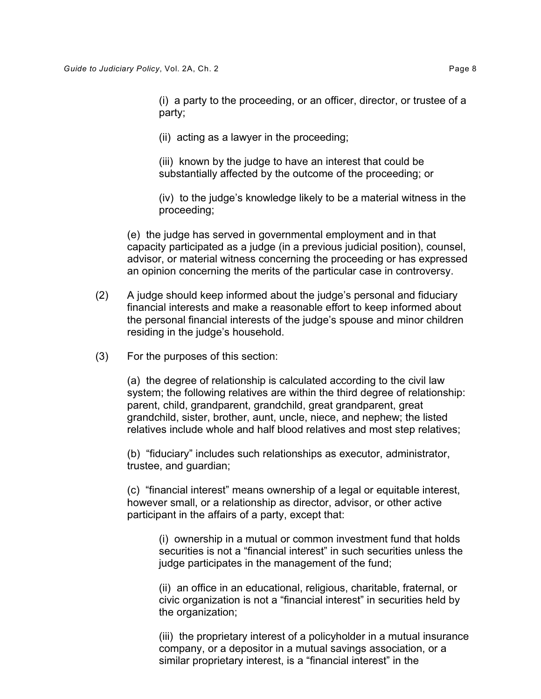(i) a party to the proceeding, or an officer, director, or trustee of a party;

(ii) acting as a lawyer in the proceeding;

(iii) known by the judge to have an interest that could be substantially affected by the outcome of the proceeding; or

(iv) to the judge's knowledge likely to be a material witness in the proceeding;

(e) the judge has served in governmental employment and in that capacity participated as a judge (in a previous judicial position), counsel, advisor, or material witness concerning the proceeding or has expressed an opinion concerning the merits of the particular case in controversy.

- (2) A judge should keep informed about the judge's personal and fiduciary financial interests and make a reasonable effort to keep informed about the personal financial interests of the judge's spouse and minor children residing in the judge's household.
- (3) For the purposes of this section:

(a) the degree of relationship is calculated according to the civil law system; the following relatives are within the third degree of relationship: parent, child, grandparent, grandchild, great grandparent, great grandchild, sister, brother, aunt, uncle, niece, and nephew; the listed relatives include whole and half blood relatives and most step relatives;

(b) "fiduciary" includes such relationships as executor, administrator, trustee, and guardian;

(c) "financial interest" means ownership of a legal or equitable interest, however small, or a relationship as director, advisor, or other active participant in the affairs of a party, except that:

(i) ownership in a mutual or common investment fund that holds securities is not a "financial interest" in such securities unless the judge participates in the management of the fund;

(ii) an office in an educational, religious, charitable, fraternal, or civic organization is not a "financial interest" in securities held by the organization;

(iii) the proprietary interest of a policyholder in a mutual insurance company, or a depositor in a mutual savings association, or a similar proprietary interest, is a "financial interest" in the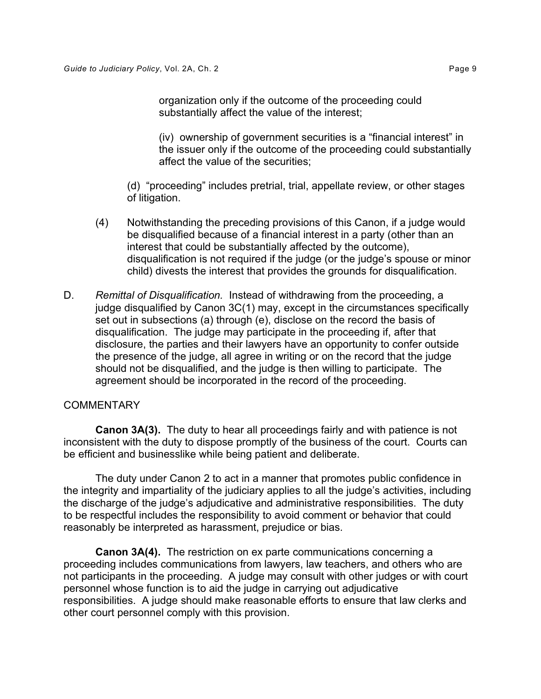organization only if the outcome of the proceeding could substantially affect the value of the interest;

(iv) ownership of government securities is a "financial interest" in the issuer only if the outcome of the proceeding could substantially affect the value of the securities;

(d) "proceeding" includes pretrial, trial, appellate review, or other stages of litigation.

- (4) Notwithstanding the preceding provisions of this Canon, if a judge would be disqualified because of a financial interest in a party (other than an interest that could be substantially affected by the outcome), disqualification is not required if the judge (or the judge's spouse or minor child) divests the interest that provides the grounds for disqualification.
- D. Remittal of Disqualification. Instead of withdrawing from the proceeding, a judge disqualified by Canon 3C(1) may, except in the circumstances specifically set out in subsections (a) through (e), disclose on the record the basis of disqualification. The judge may participate in the proceeding if, after that disclosure, the parties and their lawyers have an opportunity to confer outside the presence of the judge, all agree in writing or on the record that the judge should not be disqualified, and the judge is then willing to participate. The agreement should be incorporated in the record of the proceeding.

#### **COMMENTARY**

**Canon 3A(3).** The duty to hear all proceedings fairly and with patience is not inconsistent with the duty to dispose promptly of the business of the court. Courts can be efficient and businesslike while being patient and deliberate.

The duty under Canon 2 to act in a manner that promotes public confidence in the integrity and impartiality of the judiciary applies to all the judge's activities, including the discharge of the judge's adjudicative and administrative responsibilities. The duty to be respectful includes the responsibility to avoid comment or behavior that could reasonably be interpreted as harassment, prejudice or bias.

**Canon 3A(4).** The restriction on ex parte communications concerning a proceeding includes communications from lawyers, law teachers, and others who are not participants in the proceeding. A judge may consult with other judges or with court personnel whose function is to aid the judge in carrying out adjudicative responsibilities. A judge should make reasonable efforts to ensure that law clerks and other court personnel comply with this provision.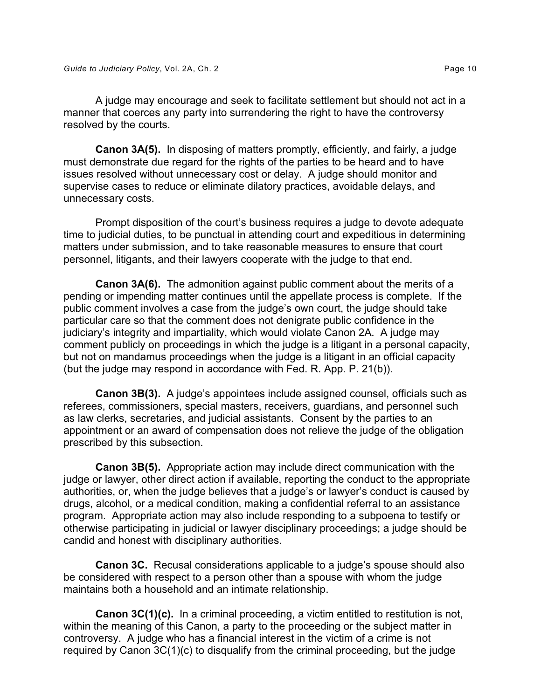A judge may encourage and seek to facilitate settlement but should not act in a manner that coerces any party into surrendering the right to have the controversy resolved by the courts.

**Canon 3A(5).** In disposing of matters promptly, efficiently, and fairly, a judge must demonstrate due regard for the rights of the parties to be heard and to have issues resolved without unnecessary cost or delay. A judge should monitor and supervise cases to reduce or eliminate dilatory practices, avoidable delays, and unnecessary costs.

Prompt disposition of the court's business requires a judge to devote adequate time to judicial duties, to be punctual in attending court and expeditious in determining matters under submission, and to take reasonable measures to ensure that court personnel, litigants, and their lawyers cooperate with the judge to that end.

**Canon 3A(6).** The admonition against public comment about the merits of a pending or impending matter continues until the appellate process is complete. If the public comment involves a case from the judge's own court, the judge should take particular care so that the comment does not denigrate public confidence in the judiciary's integrity and impartiality, which would violate Canon 2A. A judge may comment publicly on proceedings in which the judge is a litigant in a personal capacity, but not on mandamus proceedings when the judge is a litigant in an official capacity (but the judge may respond in accordance with Fed. R. App. P. 21(b)).

**Canon 3B(3).** A judge's appointees include assigned counsel, officials such as referees, commissioners, special masters, receivers, guardians, and personnel such as law clerks, secretaries, and judicial assistants. Consent by the parties to an appointment or an award of compensation does not relieve the judge of the obligation prescribed by this subsection.

**Canon 3B(5).** Appropriate action may include direct communication with the judge or lawyer, other direct action if available, reporting the conduct to the appropriate authorities, or, when the judge believes that a judge's or lawyer's conduct is caused by drugs, alcohol, or a medical condition, making a confidential referral to an assistance program. Appropriate action may also include responding to a subpoena to testify or otherwise participating in judicial or lawyer disciplinary proceedings; a judge should be candid and honest with disciplinary authorities.

**Canon 3C.** Recusal considerations applicable to a judge's spouse should also be considered with respect to a person other than a spouse with whom the judge maintains both a household and an intimate relationship.

**Canon 3C(1)(c).** In a criminal proceeding, a victim entitled to restitution is not, within the meaning of this Canon, a party to the proceeding or the subject matter in controversy. A judge who has a financial interest in the victim of a crime is not required by Canon 3C(1)(c) to disqualify from the criminal proceeding, but the judge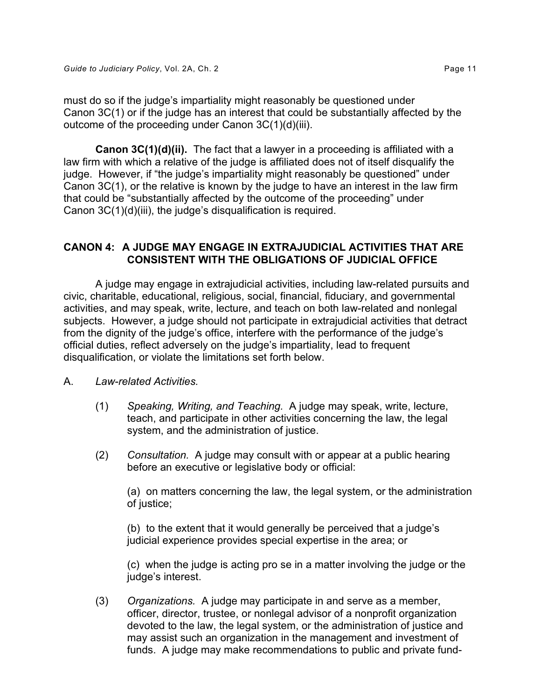must do so if the judge's impartiality might reasonably be questioned under Canon 3C(1) or if the judge has an interest that could be substantially affected by the outcome of the proceeding under Canon 3C(1)(d)(iii).

**Canon 3C(1)(d)(ii).** The fact that a lawyer in a proceeding is affiliated with a law firm with which a relative of the judge is affiliated does not of itself disqualify the judge. However, if "the judge's impartiality might reasonably be questioned" under Canon 3C(1), or the relative is known by the judge to have an interest in the law firm that could be "substantially affected by the outcome of the proceeding" under Canon 3C(1)(d)(iii), the judge's disqualification is required.

## **CANON 4: A JUDGE MAY ENGAGE IN EXTRAJUDICIAL ACTIVITIES THAT ARE CONSISTENT WITH THE OBLIGATIONS OF JUDICIAL OFFICE**

A judge may engage in extrajudicial activities, including law-related pursuits and civic, charitable, educational, religious, social, financial, fiduciary, and governmental activities, and may speak, write, lecture, and teach on both law-related and nonlegal subjects. However, a judge should not participate in extrajudicial activities that detract from the dignity of the judge's office, interfere with the performance of the judge's official duties, reflect adversely on the judge's impartiality, lead to frequent disqualification, or violate the limitations set forth below.

## A. *Law-related Activities.*

- (1) *Speaking, Writing, and Teaching.* A judge may speak, write, lecture, teach, and participate in other activities concerning the law, the legal system, and the administration of justice.
- (2) *Consultation.* A judge may consult with or appear at a public hearing before an executive or legislative body or official:

(a) on matters concerning the law, the legal system, or the administration of justice;

(b) to the extent that it would generally be perceived that a judge's judicial experience provides special expertise in the area; or

(c) when the judge is acting pro se in a matter involving the judge or the judge's interest.

(3) *Organizations.* A judge may participate in and serve as a member, officer, director, trustee, or nonlegal advisor of a nonprofit organization devoted to the law, the legal system, or the administration of justice and may assist such an organization in the management and investment of funds. A judge may make recommendations to public and private fund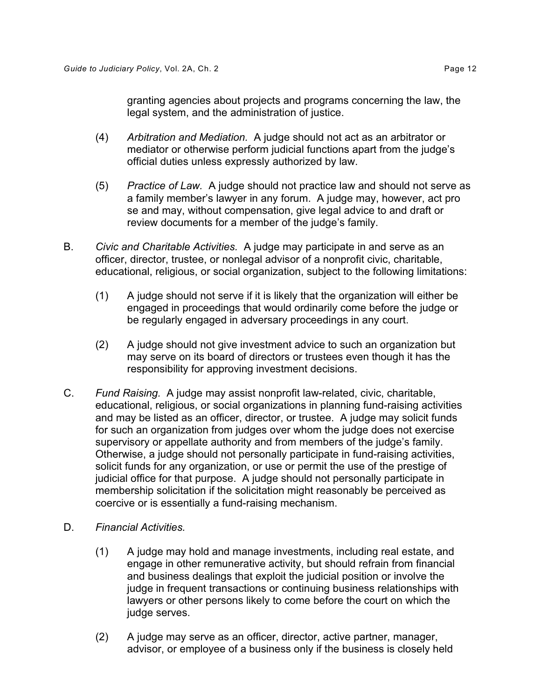granting agencies about projects and programs concerning the law, the legal system, and the administration of justice.

- (4) *Arbitration and Mediation.* A judge should not act as an arbitrator or mediator or otherwise perform judicial functions apart from the judge's official duties unless expressly authorized by law.
- (5) *Practice of Law.* A judge should not practice law and should not serve as a family member's lawyer in any forum. A judge may, however, act pro se and may, without compensation, give legal advice to and draft or review documents for a member of the judge's family.
- B. *Civic and Charitable Activities.* A judge may participate in and serve as an officer, director, trustee, or nonlegal advisor of a nonprofit civic, charitable, educational, religious, or social organization, subject to the following limitations:
	- $(1)$  A judge should not serve if it is likely that the organization will either be engaged in proceedings that would ordinarily come before the judge or be regularly engaged in adversary proceedings in any court.
	- (2) A judge should not give investment advice to such an organization but may serve on its board of directors or trustees even though it has the responsibility for approving investment decisions.
- C. *Fund Raising.* A judge may assist nonprofit law-related, civic, charitable, educational, religious, or social organizations in planning fund-raising activities and may be listed as an officer, director, or trustee. A judge may solicit funds for such an organization from judges over whom the judge does not exercise supervisory or appellate authority and from members of the judge's family. Otherwise, a judge should not personally participate in fund-raising activities, solicit funds for any organization, or use or permit the use of the prestige of judicial office for that purpose. A judge should not personally participate in membership solicitation if the solicitation might reasonably be perceived as coercive or is essentially a fund-raising mechanism.
- D. *Financial Activities.* 
	- (1) A judge may hold and manage investments, including real estate, and engage in other remunerative activity, but should refrain from financial and business dealings that exploit the judicial position or involve the judge in frequent transactions or continuing business relationships with lawyers or other persons likely to come before the court on which the judge serves.
	- (2) A judge may serve as an officer, director, active partner, manager, advisor, or employee of a business only if the business is closely held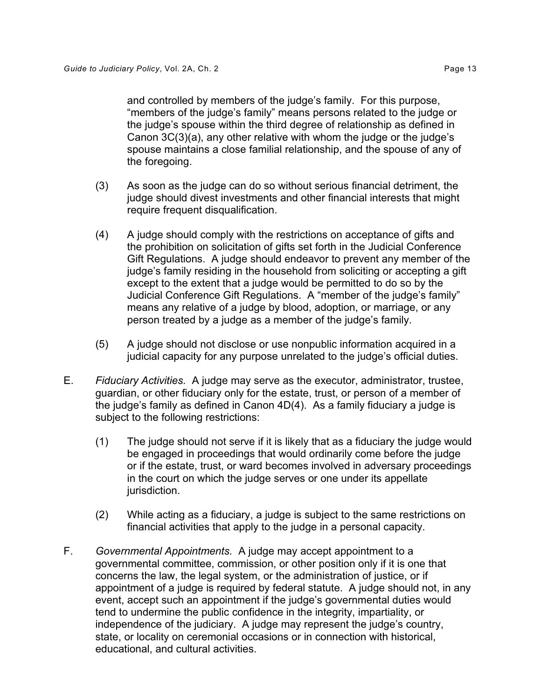and controlled by members of the judge's family. For this purpose, "members of the judge's family" means persons related to the judge or the judge's spouse within the third degree of relationship as defined in Canon 3C(3)(a), any other relative with whom the judge or the judge's spouse maintains a close familial relationship, and the spouse of any of the foregoing.

- (3) As soon as the judge can do so without serious financial detriment, the judge should divest investments and other financial interests that might require frequent disqualification.
- (4) A judge should comply with the restrictions on acceptance of gifts and the prohibition on solicitation of gifts set forth in the Judicial Conference Gift Regulations. A judge should endeavor to prevent any member of the judge's family residing in the household from soliciting or accepting a gift except to the extent that a judge would be permitted to do so by the Judicial Conference Gift Regulations. A "member of the judge's family" means any relative of a judge by blood, adoption, or marriage, or any person treated by a judge as a member of the judge's family.
- (5) A judge should not disclose or use nonpublic information acquired in a judicial capacity for any purpose unrelated to the judge's official duties.
- E. *Fiduciary Activities.* A judge may serve as the executor, administrator, trustee, guardian, or other fiduciary only for the estate, trust, or person of a member of the judge's family as defined in Canon 4D(4). As a family fiduciary a judge is subject to the following restrictions:
	- $(1)$  The judge should not serve if it is likely that as a fiduciary the judge would be engaged in proceedings that would ordinarily come before the judge or if the estate, trust, or ward becomes involved in adversary proceedings in the court on which the judge serves or one under its appellate jurisdiction.
	- (2) While acting as a fiduciary, a judge is subject to the same restrictions on financial activities that apply to the judge in a personal capacity.
- F. Governmental Appointments. A judge may accept appointment to a governmental committee, commission, or other position only if it is one that concerns the law, the legal system, or the administration of justice, or if appointment of a judge is required by federal statute. A judge should not, in any event, accept such an appointment if the judge's governmental duties would tend to undermine the public confidence in the integrity, impartiality, or independence of the judiciary. A judge may represent the judge's country, state, or locality on ceremonial occasions or in connection with historical, educational, and cultural activities.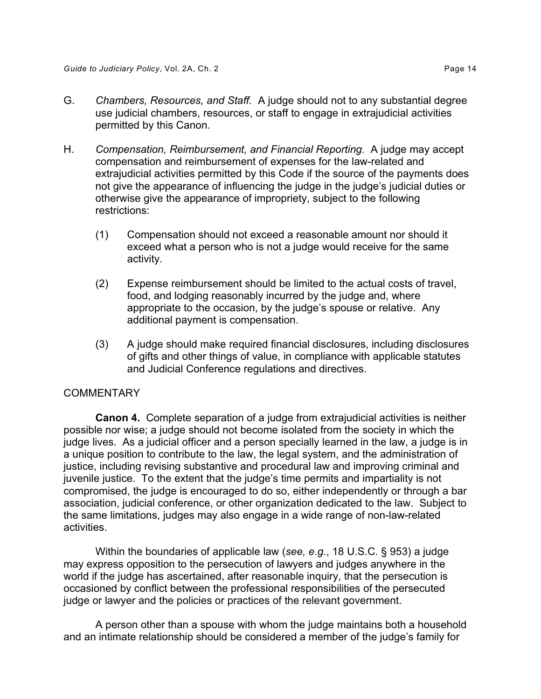- G. *Chambers, Resources, and Staff.* A judge should not to any substantial degree use judicial chambers, resources, or staff to engage in extrajudicial activities permitted by this Canon.
- H. Compensation, Reimbursement, and Financial Reporting. A judge may accept compensation and reimbursement of expenses for the law-related and extrajudicial activities permitted by this Code if the source of the payments does not give the appearance of influencing the judge in the judge's judicial duties or otherwise give the appearance of impropriety, subject to the following restrictions:
	- (1) Compensation should not exceed a reasonable amount nor should it exceed what a person who is not a judge would receive for the same activity.
	- (2) Expense reimbursement should be limited to the actual costs of travel, food, and lodging reasonably incurred by the judge and, where appropriate to the occasion, by the judge's spouse or relative. Any additional payment is compensation.
	- (3) A judge should make required financial disclosures, including disclosures of gifts and other things of value, in compliance with applicable statutes and Judicial Conference regulations and directives.

## **COMMENTARY**

**Canon 4.** Complete separation of a judge from extrajudicial activities is neither possible nor wise; a judge should not become isolated from the society in which the judge lives. As a judicial officer and a person specially learned in the law, a judge is in a unique position to contribute to the law, the legal system, and the administration of justice, including revising substantive and procedural law and improving criminal and juvenile justice. To the extent that the judge's time permits and impartiality is not compromised, the judge is encouraged to do so, either independently or through a bar association, judicial conference, or other organization dedicated to the law. Subject to the same limitations, judges may also engage in a wide range of non-law-related activities.

Within the boundaries of applicable law (*see, e.g.*, 18 U.S.C. § 953) a judge may express opposition to the persecution of lawyers and judges anywhere in the world if the judge has ascertained, after reasonable inquiry, that the persecution is occasioned by conflict between the professional responsibilities of the persecuted judge or lawyer and the policies or practices of the relevant government.

A person other than a spouse with whom the judge maintains both a household and an intimate relationship should be considered a member of the judge's family for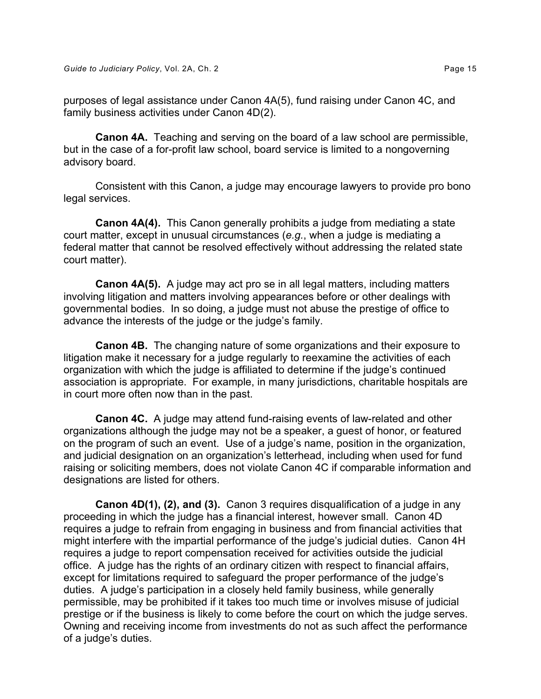purposes of legal assistance under Canon 4A(5), fund raising under Canon 4C, and family business activities under Canon 4D(2).

**Canon 4A.** Teaching and serving on the board of a law school are permissible, but in the case of a for-profit law school, board service is limited to a nongoverning advisory board.

Consistent with this Canon, a judge may encourage lawyers to provide pro bono legal services.

**Canon 4A(4).** This Canon generally prohibits a judge from mediating a state court matter, except in unusual circumstances (*e.g.*, when a judge is mediating a federal matter that cannot be resolved effectively without addressing the related state court matter).

**Canon 4A(5).** A judge may act pro se in all legal matters, including matters involving litigation and matters involving appearances before or other dealings with governmental bodies. In so doing, a judge must not abuse the prestige of office to advance the interests of the judge or the judge's family.

**Canon 4B.** The changing nature of some organizations and their exposure to litigation make it necessary for a judge regularly to reexamine the activities of each organization with which the judge is affiliated to determine if the judge's continued association is appropriate. For example, in many jurisdictions, charitable hospitals are in court more often now than in the past.

**Canon 4C.** A judge may attend fund-raising events of law-related and other organizations although the judge may not be a speaker, a guest of honor, or featured on the program of such an event. Use of a judge's name, position in the organization, and judicial designation on an organization's letterhead, including when used for fund raising or soliciting members, does not violate Canon 4C if comparable information and designations are listed for others.

**Canon 4D(1), (2), and (3).** Canon 3 requires disqualification of a judge in any proceeding in which the judge has a financial interest, however small. Canon 4D requires a judge to refrain from engaging in business and from financial activities that might interfere with the impartial performance of the judge's judicial duties. Canon 4H requires a judge to report compensation received for activities outside the judicial office. A judge has the rights of an ordinary citizen with respect to financial affairs, except for limitations required to safeguard the proper performance of the judge's duties. A judge's participation in a closely held family business, while generally permissible, may be prohibited if it takes too much time or involves misuse of judicial prestige or if the business is likely to come before the court on which the judge serves. Owning and receiving income from investments do not as such affect the performance of a judge's duties.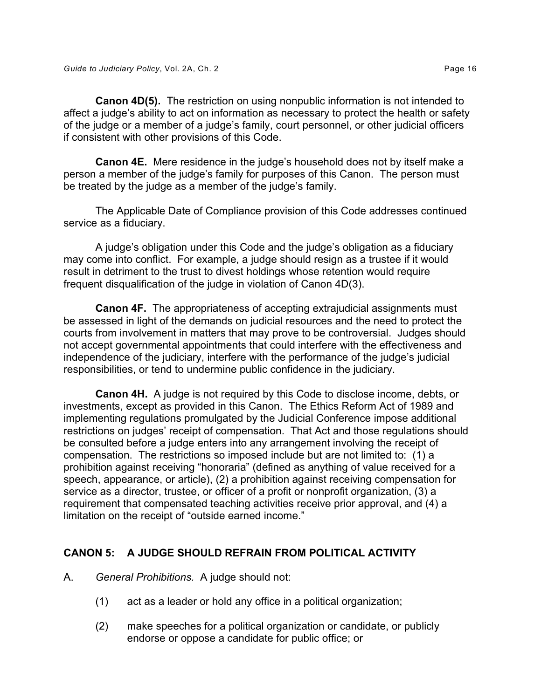**Canon 4D(5).** The restriction on using nonpublic information is not intended to affect a judge's ability to act on information as necessary to protect the health or safety of the judge or a member of a judge's family, court personnel, or other judicial officers if consistent with other provisions of this Code.

**Canon 4E.** Mere residence in the judge's household does not by itself make a person a member of the judge's family for purposes of this Canon. The person must be treated by the judge as a member of the judge's family.

The Applicable Date of Compliance provision of this Code addresses continued service as a fiduciary.

A judge's obligation under this Code and the judge's obligation as a fiduciary may come into conflict. For example, a judge should resign as a trustee if it would result in detriment to the trust to divest holdings whose retention would require frequent disqualification of the judge in violation of Canon 4D(3).

**Canon 4F.** The appropriateness of accepting extrajudicial assignments must be assessed in light of the demands on judicial resources and the need to protect the courts from involvement in matters that may prove to be controversial. Judges should not accept governmental appointments that could interfere with the effectiveness and independence of the judiciary, interfere with the performance of the judge's judicial responsibilities, or tend to undermine public confidence in the judiciary.

**Canon 4H.** A judge is not required by this Code to disclose income, debts, or investments, except as provided in this Canon. The Ethics Reform Act of 1989 and implementing regulations promulgated by the Judicial Conference impose additional restrictions on judges' receipt of compensation. That Act and those regulations should be consulted before a judge enters into any arrangement involving the receipt of compensation. The restrictions so imposed include but are not limited to: (1) a prohibition against receiving "honoraria" (defined as anything of value received for a speech, appearance, or article), (2) a prohibition against receiving compensation for service as a director, trustee, or officer of a profit or nonprofit organization, (3) a requirement that compensated teaching activities receive prior approval, and (4) a limitation on the receipt of "outside earned income."

## **CANON 5: A JUDGE SHOULD REFRAIN FROM POLITICAL ACTIVITY**

A. *General Prohibitions.* A judge should not:

- $(1)$  act as a leader or hold any office in a political organization;
- (2) make speeches for a political organization or candidate, or publicly endorse or oppose a candidate for public office; or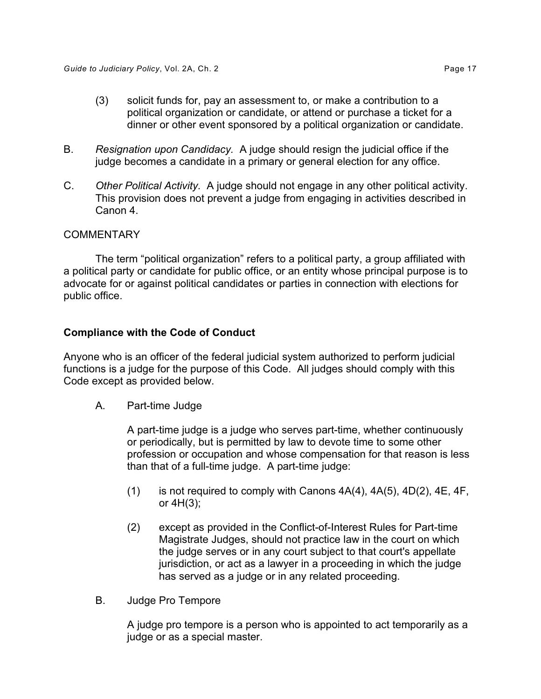- (3) solicit funds for, pay an assessment to, or make a contribution to a political organization or candidate, or attend or purchase a ticket for a dinner or other event sponsored by a political organization or candidate.
- B. *Resignation upon Candidacy.* A judge should resign the judicial office if the judge becomes a candidate in a primary or general election for any office.
- C. Other Political Activity. A judge should not engage in any other political activity. This provision does not prevent a judge from engaging in activities described in Canon 4.

### **COMMENTARY**

The term "political organization" refers to a political party, a group affiliated with a political party or candidate for public office, or an entity whose principal purpose is to advocate for or against political candidates or parties in connection with elections for public office.

## **Compliance with the Code of Conduct**

Anyone who is an officer of the federal judicial system authorized to perform judicial functions is a judge for the purpose of this Code. All judges should comply with this Code except as provided below.

A. Part-time Judge

A part-time judge is a judge who serves part-time, whether continuously or periodically, but is permitted by law to devote time to some other profession or occupation and whose compensation for that reason is less than that of a full-time judge. A part-time judge:

- $(1)$  is not required to comply with Canons  $4A(4)$ ,  $4A(5)$ ,  $4D(2)$ ,  $4E$ ,  $4F$ , or 4H(3);
- (2) except as provided in the Conflict-of-Interest Rules for Part-time Magistrate Judges, should not practice law in the court on which the judge serves or in any court subject to that court's appellate jurisdiction, or act as a lawyer in a proceeding in which the judge has served as a judge or in any related proceeding.
- B. Judge Pro Tempore

A judge pro tempore is a person who is appointed to act temporarily as a judge or as a special master.